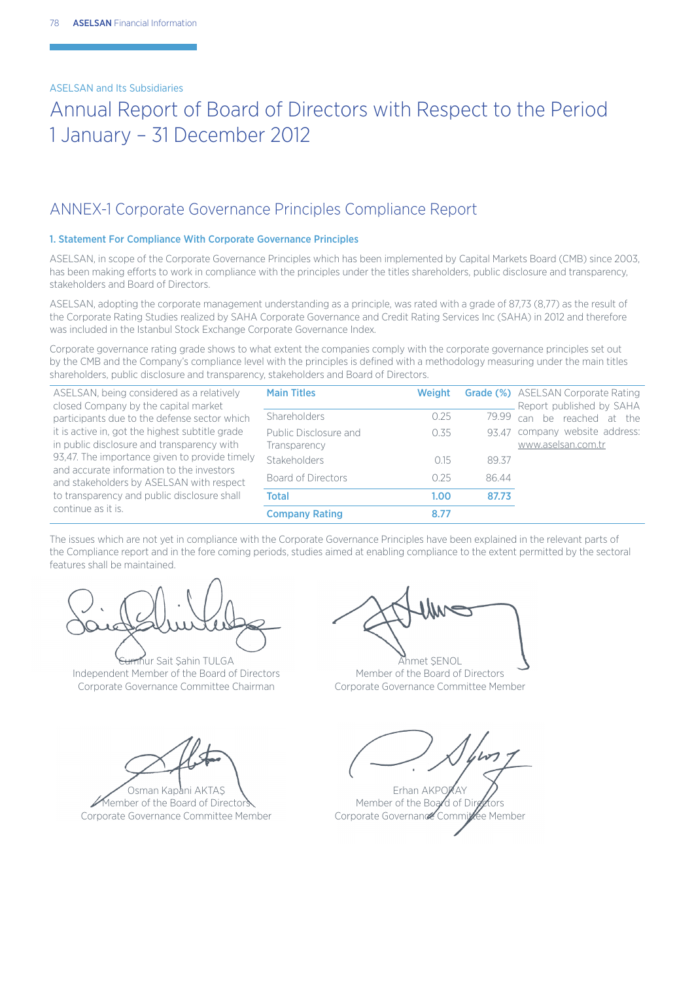## Annual Report of Board of Directors with Respect to the Period 1 January – 31 December 2012

## ANNEX-1 Corporate Governance Principles Compliance Report

### 1. Statement For Compliance With Corporate Governance Principles

ASELSAN, in scope of the Corporate Governance Principles which has been implemented by Capital Markets Board (CMB) since 2003, has been making efforts to work in compliance with the principles under the titles shareholders, public disclosure and transparency, stakeholders and Board of Directors.

ASELSAN, adopting the corporate management understanding as a principle, was rated with a grade of 87,73 (8,77) as the result of the Corporate Rating Studies realized by SAHA Corporate Governance and Credit Rating Services Inc (SAHA) in 2012 and therefore was included in the Istanbul Stock Exchange Corporate Governance Index*.*

Corporate governance rating grade shows to what extent the companies comply with the corporate governance principles set out by the CMB and the Company's compliance level with the principles is defined with a methodology measuring under the main titles shareholders, public disclosure and transparency, stakeholders and Board of Directors.

ASELSAN, being considered as a relatively closed Company by the capital market participants due to the defense sector which it is active in, got the highest subtitle grade in public disclosure and transparency with 93,47. The importance given to provide timely and accurate information to the investors and stakeholders by ASELSAN with respect to transparency and public disclosure shall continue as it is.

| <b>Main Titles</b>                    | Weight |       | <b>Grade (%)</b> ASELSAN Corporate Rating<br>Report published by SAHA |
|---------------------------------------|--------|-------|-----------------------------------------------------------------------|
| Shareholders                          | 0.25   | 79.99 | can be reached at the                                                 |
| Public Disclosure and<br>Transparency | 0.35   |       | 93.47 company website address:<br>www.aselsan.com.tr                  |
| Stakeholders                          | 015    | 89.37 |                                                                       |
| Board of Directors                    | 0.25   | 8644  |                                                                       |
| <b>Total</b>                          | 1.00   | 87.73 |                                                                       |
| <b>Company Rating</b>                 | 8.77   |       |                                                                       |

The issues which are not yet in compliance with the Corporate Governance Principles have been explained in the relevant parts of the Compliance report and in the fore coming periods, studies aimed at enabling compliance to the extent permitted by the sectoral features shall be maintained.

Thur Sait Sahin TULGA Independent Member of the Board of Directors Corporate Governance Committee Chairman

Osman Kapani AKTAŞ Member of the Board of Director Corporate Governance Committee Member

Ahmet ŞENOL Member of the Board of Directors Corporate Governance Committee Member

Erhan AKPORAY Member of the Board of Dir. Corporate Governance Committee Member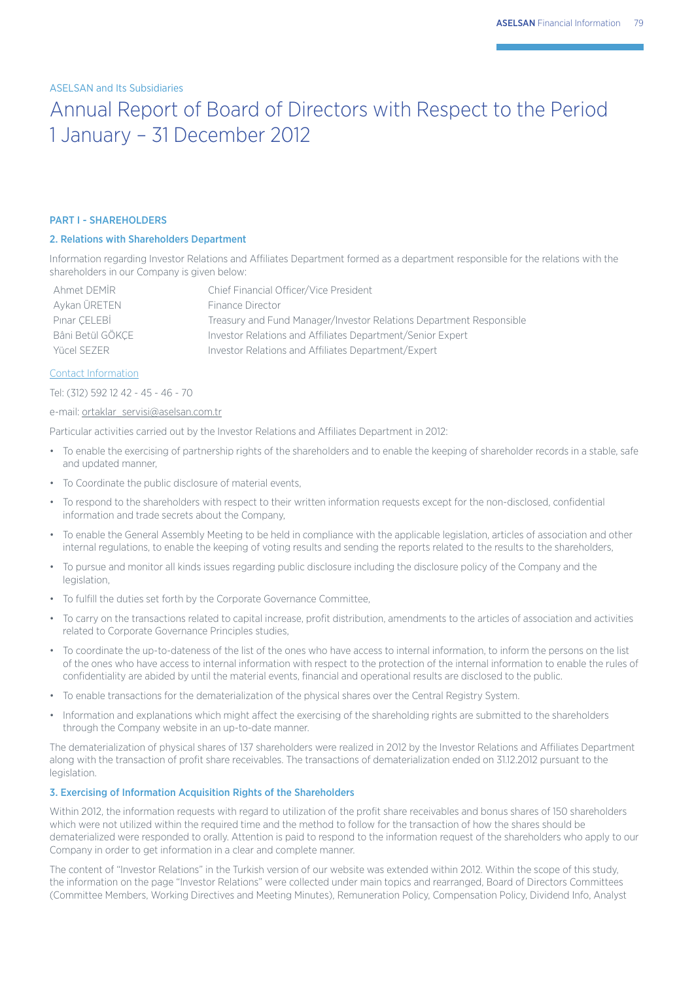## Annual Report of Board of Directors with Respect to the Period 1 January – 31 December 2012

#### PART I - SHAREHOLDERS

## 2. Relations with Shareholders Department

Information regarding Investor Relations and Affiliates Department formed as a department responsible for the relations with the shareholders in our Company is given below:

| Ahmet DFMIR      | Chief Financial Officer/Vice President                              |
|------------------|---------------------------------------------------------------------|
| Aykan ÜRETEN     | Finance Director                                                    |
| Pinar CELEBİ     | Treasury and Fund Manager/Investor Relations Department Responsible |
| Bâni Betül GÖKCE | Investor Relations and Affiliates Department/Senior Expert          |
| Yücel SEZER      | Investor Relations and Affiliates Department/Expert                 |

#### Contact Information

Tel: (312) 592 12 42 - 45 - 46 - 70

#### e-mail: ortaklar\_servisi@aselsan.com.tr

Particular activities carried out by the Investor Relations and Affiliates Department in 2012:

- To enable the exercising of partnership rights of the shareholders and to enable the keeping of shareholder records in a stable, safe and updated manner,
- To Coordinate the public disclosure of material events,
- To respond to the shareholders with respect to their written information requests except for the non-disclosed, confidential information and trade secrets about the Company,
- To enable the General Assembly Meeting to be held in compliance with the applicable legislation, articles of association and other internal regulations, to enable the keeping of voting results and sending the reports related to the results to the shareholders,
- To pursue and monitor all kinds issues regarding public disclosure including the disclosure policy of the Company and the legislation,
- To fulfill the duties set forth by the Corporate Governance Committee,
- To carry on the transactions related to capital increase, profit distribution, amendments to the articles of association and activities related to Corporate Governance Principles studies,
- To coordinate the up-to-dateness of the list of the ones who have access to internal information, to inform the persons on the list of the ones who have access to internal information with respect to the protection of the internal information to enable the rules of confidentiality are abided by until the material events, financial and operational results are disclosed to the public.
- To enable transactions for the dematerialization of the physical shares over the Central Registry System.
- Information and explanations which might affect the exercising of the shareholding rights are submitted to the shareholders through the Company website in an up-to-date manner.

The dematerialization of physical shares of 137 shareholders were realized in 2012 by the Investor Relations and Affiliates Department along with the transaction of profit share receivables. The transactions of dematerialization ended on 31.12.2012 pursuant to the legislation.

#### 3. Exercising of Information Acquisition Rights of the Shareholders

Within 2012, the information requests with regard to utilization of the profit share receivables and bonus shares of 150 shareholders which were not utilized within the required time and the method to follow for the transaction of how the shares should be dematerialized were responded to orally. Attention is paid to respond to the information request of the shareholders who apply to our Company in order to get information in a clear and complete manner.

The content of "Investor Relations" in the Turkish version of our website was extended within 2012. Within the scope of this study, the information on the page "Investor Relations" were collected under main topics and rearranged, Board of Directors Committees (Committee Members, Working Directives and Meeting Minutes), Remuneration Policy, Compensation Policy, Dividend Info, Analyst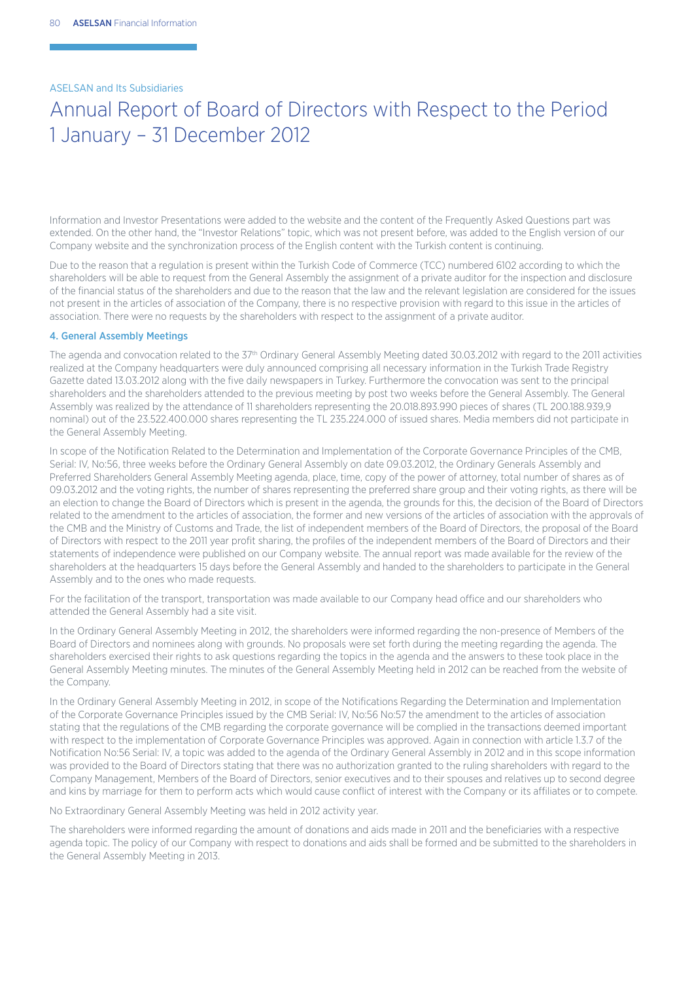## Annual Report of Board of Directors with Respect to the Period 1 January – 31 December 2012

Information and Investor Presentations were added to the website and the content of the Frequently Asked Questions part was extended. On the other hand, the "Investor Relations" topic, which was not present before, was added to the English version of our Company website and the synchronization process of the English content with the Turkish content is continuing.

Due to the reason that a regulation is present within the Turkish Code of Commerce (TCC) numbered 6102 according to which the shareholders will be able to request from the General Assembly the assignment of a private auditor for the inspection and disclosure of the financial status of the shareholders and due to the reason that the law and the relevant legislation are considered for the issues not present in the articles of association of the Company, there is no respective provision with regard to this issue in the articles of association. There were no requests by the shareholders with respect to the assignment of a private auditor.

#### 4. General Assembly Meetings

The agenda and convocation related to the 37<sup>th</sup> Ordinary General Assembly Meeting dated 30.03.2012 with regard to the 2011 activities realized at the Company headquarters were duly announced comprising all necessary information in the Turkish Trade Registry Gazette dated 13.03.2012 along with the five daily newspapers in Turkey. Furthermore the convocation was sent to the principal shareholders and the shareholders attended to the previous meeting by post two weeks before the General Assembly. The General Assembly was realized by the attendance of 11 shareholders representing the 20.018.893.990 pieces of shares (TL 200.188.939,9 nominal) out of the 23.522.400.000 shares representing the TL 235.224.000 of issued shares. Media members did not participate in the General Assembly Meeting.

In scope of the Notification Related to the Determination and Implementation of the Corporate Governance Principles of the CMB, Serial: IV, No:56, three weeks before the Ordinary General Assembly on date 09.03.2012, the Ordinary Generals Assembly and Preferred Shareholders General Assembly Meeting agenda, place, time, copy of the power of attorney, total number of shares as of 09.03.2012 and the voting rights, the number of shares representing the preferred share group and their voting rights, as there will be an election to change the Board of Directors which is present in the agenda, the grounds for this, the decision of the Board of Directors related to the amendment to the articles of association, the former and new versions of the articles of association with the approvals of the CMB and the Ministry of Customs and Trade, the list of independent members of the Board of Directors, the proposal of the Board of Directors with respect to the 2011 year profit sharing, the profiles of the independent members of the Board of Directors and their statements of independence were published on our Company website. The annual report was made available for the review of the shareholders at the headquarters 15 days before the General Assembly and handed to the shareholders to participate in the General Assembly and to the ones who made requests.

For the facilitation of the transport, transportation was made available to our Company head office and our shareholders who attended the General Assembly had a site visit.

In the Ordinary General Assembly Meeting in 2012, the shareholders were informed regarding the non-presence of Members of the Board of Directors and nominees along with grounds. No proposals were set forth during the meeting regarding the agenda. The shareholders exercised their rights to ask questions regarding the topics in the agenda and the answers to these took place in the General Assembly Meeting minutes. The minutes of the General Assembly Meeting held in 2012 can be reached from the website of the Company.

In the Ordinary General Assembly Meeting in 2012, in scope of the Notifications Regarding the Determination and Implementation of the Corporate Governance Principles issued by the CMB Serial: IV, No:56 No:57 the amendment to the articles of association stating that the regulations of the CMB regarding the corporate governance will be complied in the transactions deemed important with respect to the implementation of Corporate Governance Principles was approved. Again in connection with article 1.3.7 of the Notification No:56 Serial: IV, a topic was added to the agenda of the Ordinary General Assembly in 2012 and in this scope information was provided to the Board of Directors stating that there was no authorization granted to the ruling shareholders with regard to the Company Management, Members of the Board of Directors, senior executives and to their spouses and relatives up to second degree and kins by marriage for them to perform acts which would cause conflict of interest with the Company or its affiliates or to compete.

No Extraordinary General Assembly Meeting was held in 2012 activity year.

The shareholders were informed regarding the amount of donations and aids made in 2011 and the beneficiaries with a respective agenda topic. The policy of our Company with respect to donations and aids shall be formed and be submitted to the shareholders in the General Assembly Meeting in 2013.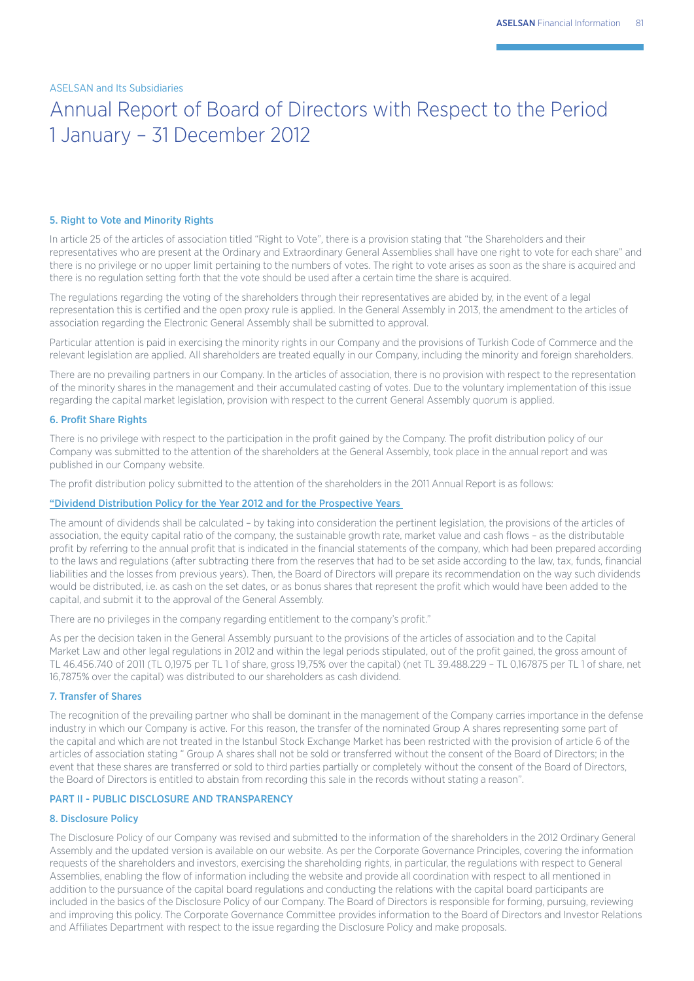## Annual Report of Board of Directors with Respect to the Period 1 January – 31 December 2012

#### 5. Right to Vote and Minority Rights

In article 25 of the articles of association titled "Right to Vote", there is a provision stating that "the Shareholders and their representatives who are present at the Ordinary and Extraordinary General Assemblies shall have one right to vote for each share" and there is no privilege or no upper limit pertaining to the numbers of votes. The right to vote arises as soon as the share is acquired and there is no regulation setting forth that the vote should be used after a certain time the share is acquired.

The regulations regarding the voting of the shareholders through their representatives are abided by, in the event of a legal representation this is certified and the open proxy rule is applied. In the General Assembly in 2013, the amendment to the articles of association regarding the Electronic General Assembly shall be submitted to approval.

Particular attention is paid in exercising the minority rights in our Company and the provisions of Turkish Code of Commerce and the relevant legislation are applied. All shareholders are treated equally in our Company, including the minority and foreign shareholders.

There are no prevailing partners in our Company. In the articles of association, there is no provision with respect to the representation of the minority shares in the management and their accumulated casting of votes. Due to the voluntary implementation of this issue regarding the capital market legislation, provision with respect to the current General Assembly quorum is applied.

#### 6. Profit Share Rights

There is no privilege with respect to the participation in the profit gained by the Company. The profit distribution policy of our Company was submitted to the attention of the shareholders at the General Assembly, took place in the annual report and was published in our Company website.

The profit distribution policy submitted to the attention of the shareholders in the 2011 Annual Report is as follows:

### "Dividend Distribution Policy for the Year 2012 and for the Prospective Years

The amount of dividends shall be calculated – by taking into consideration the pertinent legislation, the provisions of the articles of association, the equity capital ratio of the company, the sustainable growth rate, market value and cash flows – as the distributable profit by referring to the annual profit that is indicated in the financial statements of the company, which had been prepared according to the laws and regulations (after subtracting there from the reserves that had to be set aside according to the law, tax, funds, financial liabilities and the losses from previous years). Then, the Board of Directors will prepare its recommendation on the way such dividends would be distributed, i.e. as cash on the set dates, or as bonus shares that represent the profit which would have been added to the capital, and submit it to the approval of the General Assembly.

There are no privileges in the company regarding entitlement to the company's profit."

As per the decision taken in the General Assembly pursuant to the provisions of the articles of association and to the Capital Market Law and other legal regulations in 2012 and within the legal periods stipulated, out of the profit gained, the gross amount of TL 46.456.740 of 2011 (TL 0,1975 per TL 1 of share, gross 19,75% over the capital) (net TL 39.488.229 – TL 0,167875 per TL 1 of share, net 16,7875% over the capital) was distributed to our shareholders as cash dividend.

### 7. Transfer of Shares

The recognition of the prevailing partner who shall be dominant in the management of the Company carries importance in the defense industry in which our Company is active. For this reason, the transfer of the nominated Group A shares representing some part of the capital and which are not treated in the Istanbul Stock Exchange Market has been restricted with the provision of article 6 of the articles of association stating " Group A shares shall not be sold or transferred without the consent of the Board of Directors; in the event that these shares are transferred or sold to third parties partially or completely without the consent of the Board of Directors, the Board of Directors is entitled to abstain from recording this sale in the records without stating a reason".

### PART II - PUBLIC DISCLOSURE AND TRANSPARENCY

### 8. Disclosure Policy

The Disclosure Policy of our Company was revised and submitted to the information of the shareholders in the 2012 Ordinary General Assembly and the updated version is available on our website. As per the Corporate Governance Principles, covering the information requests of the shareholders and investors, exercising the shareholding rights, in particular, the regulations with respect to General Assemblies, enabling the flow of information including the website and provide all coordination with respect to all mentioned in addition to the pursuance of the capital board regulations and conducting the relations with the capital board participants are included in the basics of the Disclosure Policy of our Company. The Board of Directors is responsible for forming, pursuing, reviewing and improving this policy. The Corporate Governance Committee provides information to the Board of Directors and Investor Relations and Affiliates Department with respect to the issue regarding the Disclosure Policy and make proposals.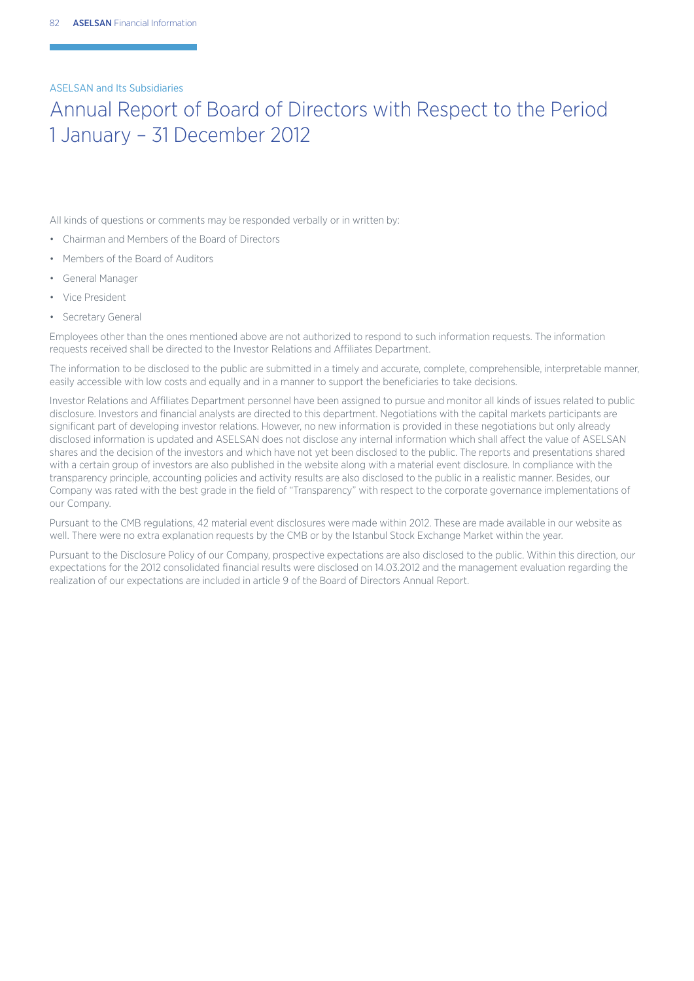## Annual Report of Board of Directors with Respect to the Period 1 January – 31 December 2012

All kinds of questions or comments may be responded verbally or in written by:

- Chairman and Members of the Board of Directors
- Members of the Board of Auditors
- General Manager
- Vice President
- Secretary General

Employees other than the ones mentioned above are not authorized to respond to such information requests. The information requests received shall be directed to the Investor Relations and Affiliates Department.

The information to be disclosed to the public are submitted in a timely and accurate, complete, comprehensible, interpretable manner, easily accessible with low costs and equally and in a manner to support the beneficiaries to take decisions.

Investor Relations and Affiliates Department personnel have been assigned to pursue and monitor all kinds of issues related to public disclosure. Investors and financial analysts are directed to this department. Negotiations with the capital markets participants are significant part of developing investor relations. However, no new information is provided in these negotiations but only already disclosed information is updated and ASELSAN does not disclose any internal information which shall affect the value of ASELSAN shares and the decision of the investors and which have not yet been disclosed to the public. The reports and presentations shared with a certain group of investors are also published in the website along with a material event disclosure. In compliance with the transparency principle, accounting policies and activity results are also disclosed to the public in a realistic manner. Besides, our Company was rated with the best grade in the field of "Transparency" with respect to the corporate governance implementations of our Company.

Pursuant to the CMB regulations, 42 material event disclosures were made within 2012. These are made available in our website as well. There were no extra explanation requests by the CMB or by the Istanbul Stock Exchange Market within the year.

Pursuant to the Disclosure Policy of our Company, prospective expectations are also disclosed to the public. Within this direction, our expectations for the 2012 consolidated financial results were disclosed on 14.03.2012 and the management evaluation regarding the realization of our expectations are included in article 9 of the Board of Directors Annual Report.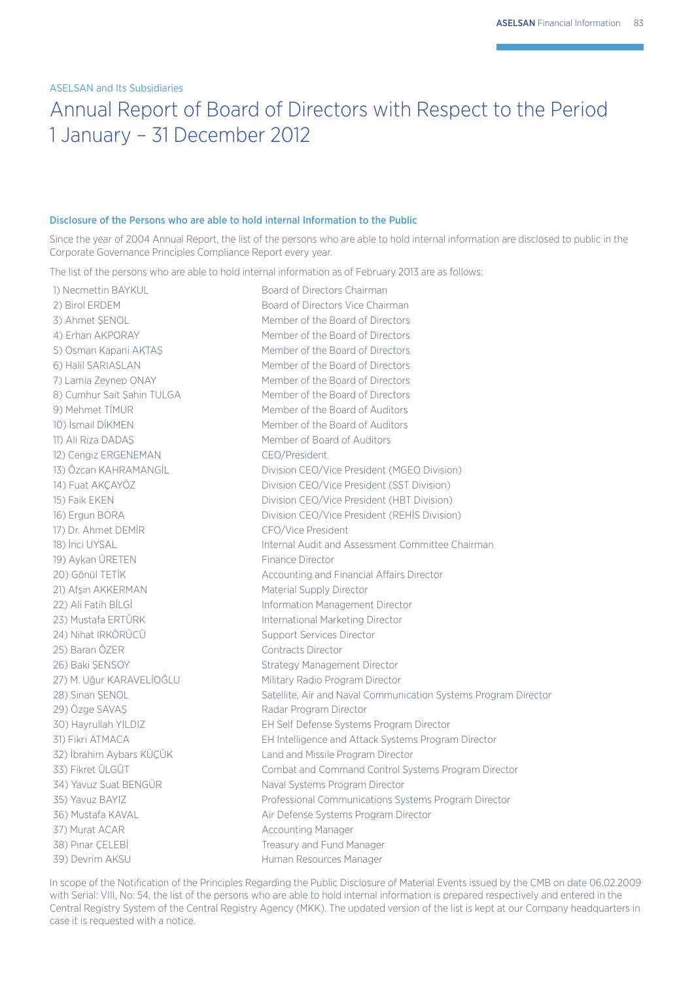## Annual Report of Board of Directors with Respect to the Period 1 January – 31 December 2012

#### Disclosure of the Persons who are able to hold internal Information to the Public

Since the year of 2004 Annual Report, the list of the persons who are able to hold internal information are disclosed to public in the Corporate Governance Principles Compliance Report every year.

The list of the persons who are able to hold internal information as of February 2013 are as follows:

11) Ali Rıza DADAŞ Member of Board of Auditors 12) Cengiz ERGENEMAN CEO/President 17) Dr. Ahmet DEMİR CFO/Vice President 19) Aykan ÜRETEN Finance Director 21) Afşin AKKERMAN Material Supply Director 23) Mustafa ERTÜRK International Marketing Director 24) Nihat IRKÖRÜCÜ Support Services Director 25) Baran ÖZER Contracts Director 26) Baki SENSOY Strategy Management Director 27) M. Uğur KARAVELİOĞLU Military Radio Program Director 29) Özge SAVAS Radar Program Director 37) Murat ACAR Accounting Manager 38) Pinar ÇELEBİ Treasury and Fund Manager 39) Devrim AKSU **Human Resources Manager** 

1) Necmettin BAYKUL Board of Directors Chairman 2) Birol ERDEM Board of Directors Vice Chairman 3) Ahmet SENOL Member of the Board of Directors 4) Erhan AKPORAY Member of the Board of Directors 5) Osman Kapani AKTAS Member of the Board of Directors 6) Halil SARIASLAN Member of the Board of Directors 7) Lamia Zeynep ONAY Member of the Board of Directors 8) Cumhur Sait Şahin TULGA Member of the Board of Directors 9) Mehmet TİMUR Member of the Board of Auditors 10) İsmail DİKMEN Member of the Board of Auditors 13) Özcan KAHRAMANGİL Division CEO/Vice President (MGEO Division) 14) Fuat AKÇAYÖZ **Division CEO/Vice President (SST Division)** 15) Faik EKEN Division CEO/Vice President (HBT Division) 16) Ergun BORA Division CEO/Vice President (REHİS Division) 18) İnci UYSAL Internal Audit and Assessment Committee Chairman 20) Gönül TETİK Accounting and Financial Affairs Director 22) Ali Fatih BİLGİ **Information Management Director** 28) Sinan ŞENOL Satellite, Air and Naval Communication Systems Program Director 30) Hayrullah YILDIZ EH Self Defense Systems Program Director 31) Fikri ATMACA EH Intelligence and Attack Systems Program Director 32) İbrahim Aybars KÜÇÜK Land and Missile Program Director 33) Fikret ÜLGÜT Combat and Command Control Systems Program Director 34) Yavuz Suat BENGÜR Naval Systems Program Director 35) Yavuz BAYIZ Professional Communications Systems Program Director 36) Mustafa KAVAL Air Defense Systems Program Director

In scope of the Notification of the Principles Regarding the Public Disclosure of Material Events issued by the CMB on date 06.02.2009 with Serial: VIII, No: 54, the list of the persons who are able to hold internal information is prepared respectively and entered in the Central Registry System of the Central Registry Agency (MKK). The updated version of the list is kept at our Company headquarters in case it is requested with a notice.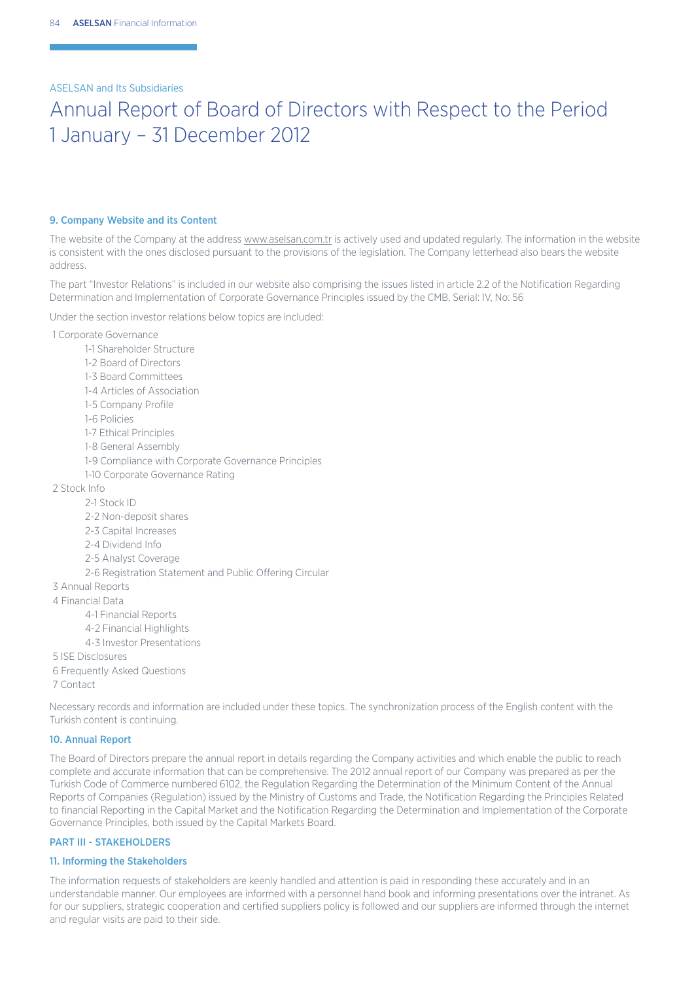## Annual Report of Board of Directors with Respect to the Period 1 January – 31 December 2012

#### 9. Company Website and its Content

The website of the Company at the address www.aselsan.com.tr is actively used and updated regularly. The information in the website is consistent with the ones disclosed pursuant to the provisions of the legislation. The Company letterhead also bears the website address.

The part "Investor Relations" is included in our website also comprising the issues listed in article 2.2 of the Notification Regarding Determination and Implementation of Corporate Governance Principles issued by the CMB, Serial: IV, No: 56

Under the section investor relations below topics are included:

- 1 Corporate Governance
- 1-1 Shareholder Structure 1-2 Board of Directors 1-3 Board Committees 1-4 Articles of Association 1-5 Company Profile 1-6 Policies 1-7 Ethical Principles 1-8 General Assembly 1-9 Compliance with Corporate Governance Principles 1-10 Corporate Governance Rating 2 Stock Info 2-1 Stock ID 2-2 Non-deposit shares 2-3 Capital Increases 2-4 Dividend Info 2-5 Analyst Coverage 2-6 Registration Statement and Public Offering Circular 3 Annual Reports 4 Financial Data 4-1 Financial Reports 4-2 Financial Highlights 4-3 Investor Presentations 5 ISE Disclosures 6 Frequently Asked Questions 7 Contact

Necessary records and information are included under these topics. The synchronization process of the English content with the Turkish content is continuing.

### 10. Annual Report

The Board of Directors prepare the annual report in details regarding the Company activities and which enable the public to reach complete and accurate information that can be comprehensive. The 2012 annual report of our Company was prepared as per the Turkish Code of Commerce numbered 6102, the Regulation Regarding the Determination of the Minimum Content of the Annual Reports of Companies (Regulation) issued by the Ministry of Customs and Trade, the Notification Regarding the Principles Related to financial Reporting in the Capital Market and the Notification Regarding the Determination and Implementation of the Corporate Governance Principles, both issued by the Capital Markets Board.

## PART III - STAKEHOLDERS

### 11. Informing the Stakeholders

The information requests of stakeholders are keenly handled and attention is paid in responding these accurately and in an understandable manner. Our employees are informed with a personnel hand book and informing presentations over the intranet. As for our suppliers, strategic cooperation and certified suppliers policy is followed and our suppliers are informed through the internet and regular visits are paid to their side.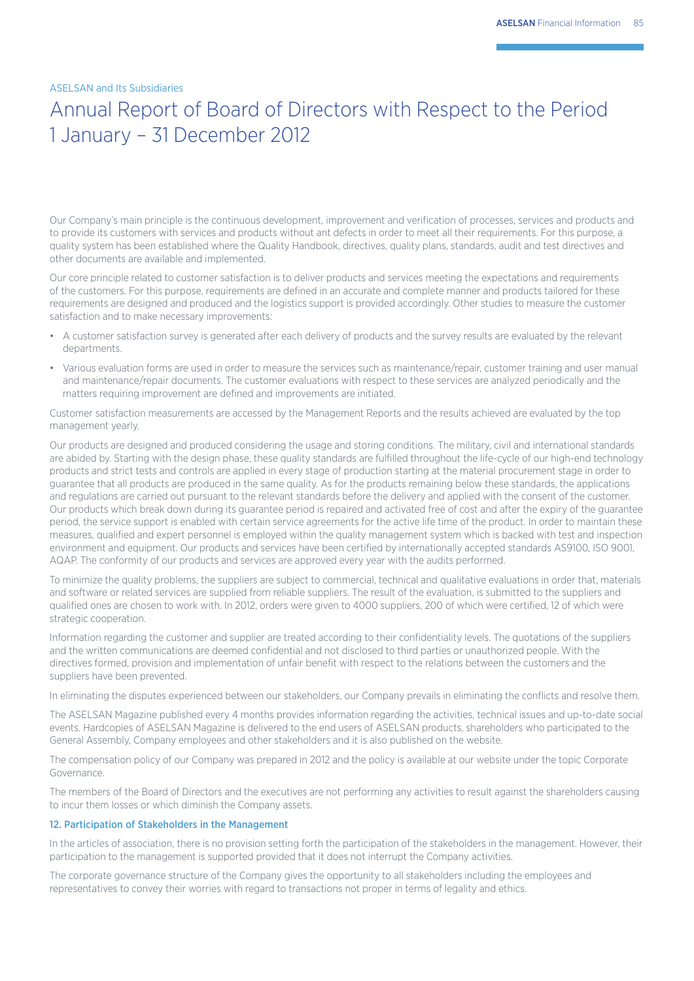## Annual Report of Board of Directors with Respect to the Period 1 January – 31 December 2012

Our Company's main principle is the continuous development, improvement and verification of processes, services and products and to provide its customers with services and products without ant defects in order to meet all their requirements. For this purpose, a quality system has been established where the Quality Handbook, directives, quality plans, standards, audit and test directives and other documents are available and implemented.

Our core principle related to customer satisfaction is to deliver products and services meeting the expectations and requirements of the customers. For this purpose, requirements are defined in an accurate and complete manner and products tailored for these requirements are designed and produced and the logistics support is provided accordingly. Other studies to measure the customer satisfaction and to make necessary improvements:

- A customer satisfaction survey is generated after each delivery of products and the survey results are evaluated by the relevant departments.
- Various evaluation forms are used in order to measure the services such as maintenance/repair, customer training and user manual and maintenance/repair documents. The customer evaluations with respect to these services are analyzed periodically and the matters requiring improvement are defined and improvements are initiated.

Customer satisfaction measurements are accessed by the Management Reports and the results achieved are evaluated by the top management yearly.

Our products are designed and produced considering the usage and storing conditions. The military, civil and international standards are abided by. Starting with the design phase, these quality standards are fulfilled throughout the life-cycle of our high-end technology products and strict tests and controls are applied in every stage of production starting at the material procurement stage in order to guarantee that all products are produced in the same quality. As for the products remaining below these standards, the applications and regulations are carried out pursuant to the relevant standards before the delivery and applied with the consent of the customer. Our products which break down during its guarantee period is repaired and activated free of cost and after the expiry of the guarantee period, the service support is enabled with certain service agreements for the active life time of the product. In order to maintain these measures, qualified and expert personnel is employed within the quality management system which is backed with test and inspection environment and equipment. Our products and services have been certified by internationally accepted standards AS9100, ISO 9001, AQAP. The conformity of our products and services are approved every year with the audits performed.

To minimize the quality problems, the suppliers are subject to commercial, technical and qualitative evaluations in order that, materials and software or related services are supplied from reliable suppliers. The result of the evaluation, is submitted to the suppliers and qualified ones are chosen to work with. In 2012, orders were given to 4000 suppliers, 200 of which were certified, 12 of which were strategic cooperation.

Information regarding the customer and supplier are treated according to their confidentiality levels. The quotations of the suppliers and the written communications are deemed confidential and not disclosed to third parties or unauthorized people. With the directives formed, provision and implementation of unfair benefit with respect to the relations between the customers and the suppliers have been prevented.

In eliminating the disputes experienced between our stakeholders, our Company prevails in eliminating the conflicts and resolve them.

The ASELSAN Magazine published every 4 months provides information regarding the activities, technical issues and up-to-date social events. Hardcopies of ASELSAN Magazine is delivered to the end users of ASELSAN products, shareholders who participated to the General Assembly, Company employees and other stakeholders and it is also published on the website.

The compensation policy of our Company was prepared in 2012 and the policy is available at our website under the topic Corporate Governance.

The members of the Board of Directors and the executives are not performing any activities to result against the shareholders causing to incur them losses or which diminish the Company assets.

### 12. Participation of Stakeholders in the Management

In the articles of association, there is no provision setting forth the participation of the stakeholders in the management. However, their participation to the management is supported provided that it does not interrupt the Company activities.

The corporate governance structure of the Company gives the opportunity to all stakeholders including the employees and representatives to convey their worries with regard to transactions not proper in terms of legality and ethics.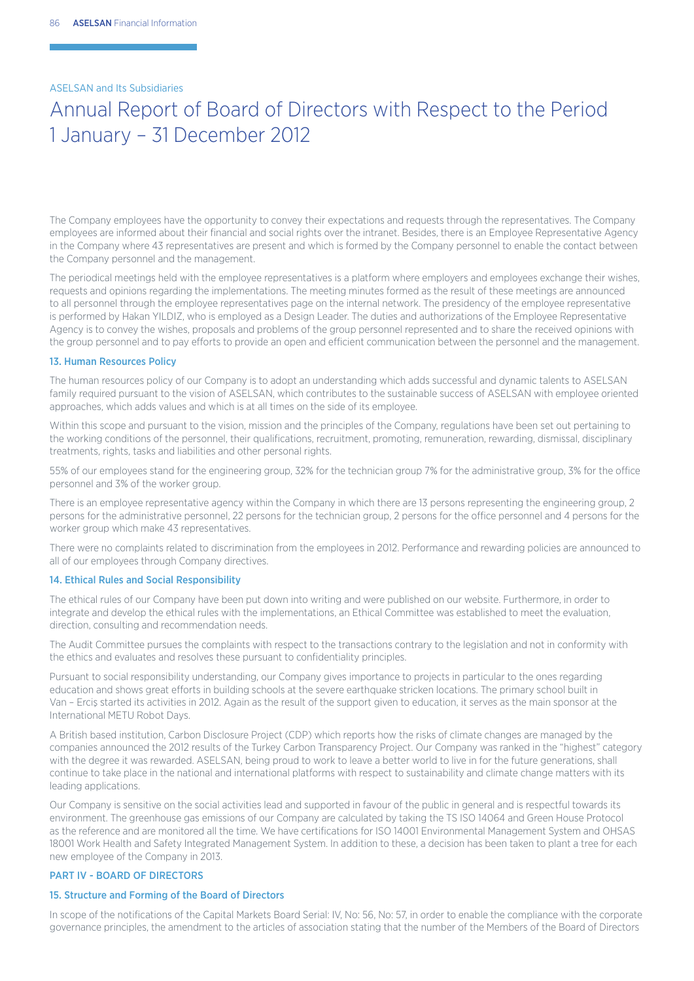## Annual Report of Board of Directors with Respect to the Period 1 January – 31 December 2012

The Company employees have the opportunity to convey their expectations and requests through the representatives. The Company employees are informed about their financial and social rights over the intranet. Besides, there is an Employee Representative Agency in the Company where 43 representatives are present and which is formed by the Company personnel to enable the contact between the Company personnel and the management.

The periodical meetings held with the employee representatives is a platform where employers and employees exchange their wishes, requests and opinions regarding the implementations. The meeting minutes formed as the result of these meetings are announced to all personnel through the employee representatives page on the internal network. The presidency of the employee representative is performed by Hakan YILDIZ, who is employed as a Design Leader. The duties and authorizations of the Employee Representative Agency is to convey the wishes, proposals and problems of the group personnel represented and to share the received opinions with the group personnel and to pay efforts to provide an open and efficient communication between the personnel and the management.

#### 13. Human Resources Policy

The human resources policy of our Company is to adopt an understanding which adds successful and dynamic talents to ASELSAN family required pursuant to the vision of ASELSAN, which contributes to the sustainable success of ASELSAN with employee oriented approaches, which adds values and which is at all times on the side of its employee.

Within this scope and pursuant to the vision, mission and the principles of the Company, regulations have been set out pertaining to the working conditions of the personnel, their qualifications, recruitment, promoting, remuneration, rewarding, dismissal, disciplinary treatments, rights, tasks and liabilities and other personal rights.

55% of our employees stand for the engineering group, 32% for the technician group 7% for the administrative group, 3% for the office personnel and 3% of the worker group.

There is an employee representative agency within the Company in which there are 13 persons representing the engineering group, 2 persons for the administrative personnel, 22 persons for the technician group, 2 persons for the office personnel and 4 persons for the worker group which make 43 representatives.

There were no complaints related to discrimination from the employees in 2012. Performance and rewarding policies are announced to all of our employees through Company directives.

### 14. Ethical Rules and Social Responsibility

The ethical rules of our Company have been put down into writing and were published on our website. Furthermore, in order to integrate and develop the ethical rules with the implementations, an Ethical Committee was established to meet the evaluation, direction, consulting and recommendation needs.

The Audit Committee pursues the complaints with respect to the transactions contrary to the legislation and not in conformity with the ethics and evaluates and resolves these pursuant to confidentiality principles.

Pursuant to social responsibility understanding, our Company gives importance to projects in particular to the ones regarding education and shows great efforts in building schools at the severe earthquake stricken locations. The primary school built in Van – Erciş started its activities in 2012. Again as the result of the support given to education, it serves as the main sponsor at the International METU Robot Days.

A British based institution, Carbon Disclosure Project (CDP) which reports how the risks of climate changes are managed by the companies announced the 2012 results of the Turkey Carbon Transparency Project. Our Company was ranked in the "highest" category with the degree it was rewarded. ASELSAN, being proud to work to leave a better world to live in for the future generations, shall continue to take place in the national and international platforms with respect to sustainability and climate change matters with its leading applications.

Our Company is sensitive on the social activities lead and supported in favour of the public in general and is respectful towards its environment. The greenhouse gas emissions of our Company are calculated by taking the TS ISO 14064 and Green House Protocol as the reference and are monitored all the time. We have certifications for ISO 14001 Environmental Management System and OHSAS 18001 Work Health and Safety Integrated Management System. In addition to these, a decision has been taken to plant a tree for each new employee of the Company in 2013.

### PART IV - BOARD OF DIRECTORS

#### 15. Structure and Forming of the Board of Directors

In scope of the notifications of the Capital Markets Board Serial: IV, No: 56, No: 57, in order to enable the compliance with the corporate governance principles, the amendment to the articles of association stating that the number of the Members of the Board of Directors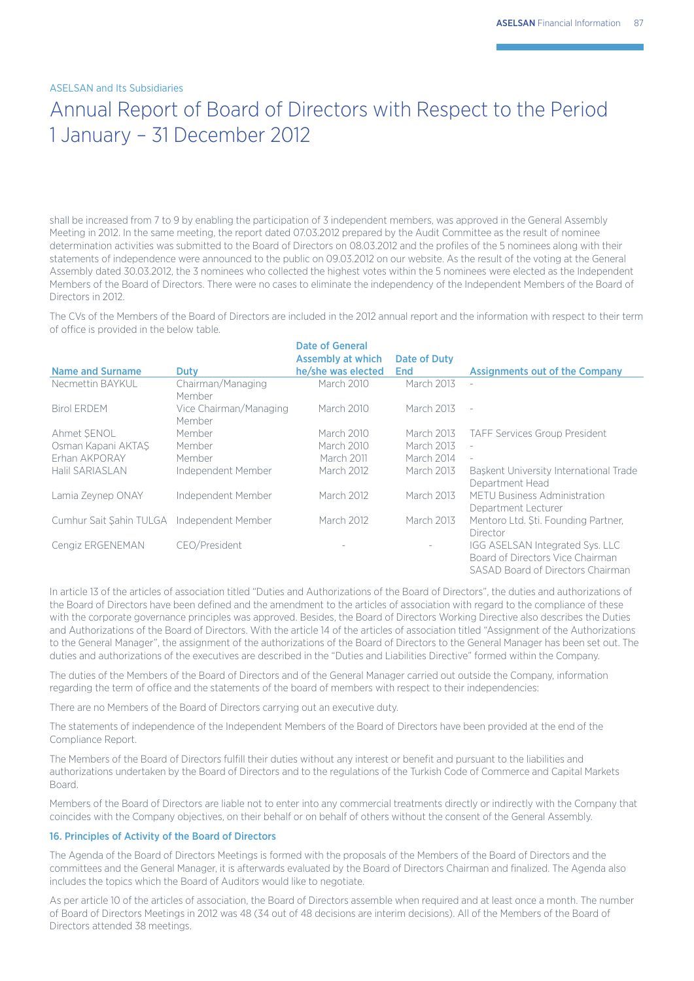## Annual Report of Board of Directors with Respect to the Period 1 January – 31 December 2012

shall be increased from 7 to 9 by enabling the participation of 3 independent members, was approved in the General Assembly Meeting in 2012. In the same meeting, the report dated 07.03.2012 prepared by the Audit Committee as the result of nominee determination activities was submitted to the Board of Directors on 08.03.2012 and the profiles of the 5 nominees along with their statements of independence were announced to the public on 09.03.2012 on our website. As the result of the voting at the General Assembly dated 30.03.2012, the 3 nominees who collected the highest votes within the 5 nominees were elected as the Independent Members of the Board of Directors. There were no cases to eliminate the independency of the Independent Members of the Board of Directors in 2012.

The CVs of the Members of the Board of Directors are included in the 2012 annual report and the information with respect to their term of office is provided in the below table.

| <b>Name and Surname</b>                    | Duty                             | Date of General<br><b>Assembly at which</b><br>he/she was elected | Date of Duty<br><b>End</b> | <b>Assignments out of the Company</b>                                                                    |
|--------------------------------------------|----------------------------------|-------------------------------------------------------------------|----------------------------|----------------------------------------------------------------------------------------------------------|
| Necmettin BAYKUL                           | Chairman/Managing<br>Member      | March 2010                                                        | March 2013                 |                                                                                                          |
| <b>Birol ERDEM</b>                         | Vice Chairman/Managing<br>Member | March 2010                                                        | March 2013                 | $\sim$                                                                                                   |
| Ahmet SENOL                                | Member                           | March 2010                                                        | March 2013                 | <b>TAFF Services Group President</b>                                                                     |
| Osman Kapani AKTAS                         | Member                           | March 2010                                                        | March 2013                 | $\overline{\phantom{a}}$                                                                                 |
| Erhan AKPORAY                              | Member                           | March 2011                                                        | March 2014                 | $\overline{\phantom{a}}$                                                                                 |
| Halil SARIASLAN                            | Independent Member               | <b>March 2012</b>                                                 | March 2013                 | Baskent University International Trade<br>Department Head                                                |
| Lamia Zeynep ONAY                          | Independent Member               | March 2012                                                        | March 2013                 | <b>METU Business Administration</b><br>Department Lecturer                                               |
| Cumhur Sait Sahin TULGA Independent Member |                                  | March 2012                                                        | March 2013                 | Mentoro Ltd. Sti. Founding Partner,<br>Director                                                          |
| Cengiz ERGENEMAN                           | CEO/President                    |                                                                   | $\overline{\phantom{a}}$   | IGG ASELSAN Integrated Sys. LLC<br>Board of Directors Vice Chairman<br>SASAD Board of Directors Chairman |

In article 13 of the articles of association titled "Duties and Authorizations of the Board of Directors", the duties and authorizations of the Board of Directors have been defined and the amendment to the articles of association with regard to the compliance of these with the corporate governance principles was approved. Besides, the Board of Directors Working Directive also describes the Duties and Authorizations of the Board of Directors. With the article 14 of the articles of association titled "Assignment of the Authorizations to the General Manager", the assignment of the authorizations of the Board of Directors to the General Manager has been set out. The duties and authorizations of the executives are described in the "Duties and Liabilities Directive" formed within the Company.

The duties of the Members of the Board of Directors and of the General Manager carried out outside the Company, information regarding the term of office and the statements of the board of members with respect to their independencies:

There are no Members of the Board of Directors carrying out an executive duty.

The statements of independence of the Independent Members of the Board of Directors have been provided at the end of the Compliance Report.

The Members of the Board of Directors fulfill their duties without any interest or benefit and pursuant to the liabilities and authorizations undertaken by the Board of Directors and to the regulations of the Turkish Code of Commerce and Capital Markets Board.

Members of the Board of Directors are liable not to enter into any commercial treatments directly or indirectly with the Company that coincides with the Company objectives, on their behalf or on behalf of others without the consent of the General Assembly.

### 16. Principles of Activity of the Board of Directors

The Agenda of the Board of Directors Meetings is formed with the proposals of the Members of the Board of Directors and the committees and the General Manager, it is afterwards evaluated by the Board of Directors Chairman and finalized. The Agenda also includes the topics which the Board of Auditors would like to negotiate.

As per article 10 of the articles of association, the Board of Directors assemble when required and at least once a month. The number of Board of Directors Meetings in 2012 was 48 (34 out of 48 decisions are interim decisions). All of the Members of the Board of Directors attended 38 meetings.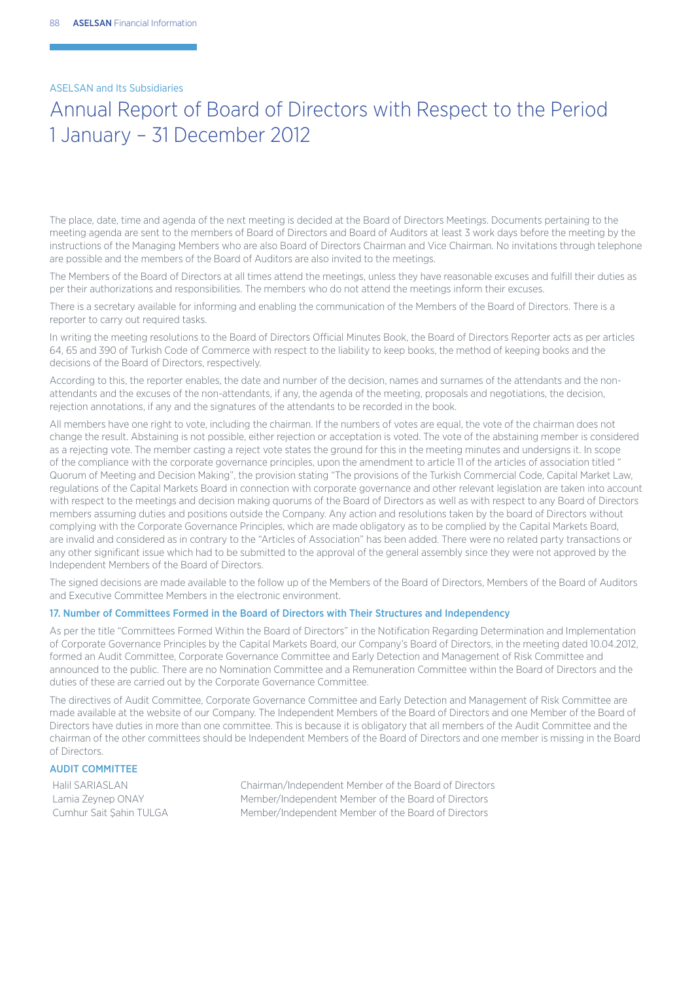## Annual Report of Board of Directors with Respect to the Period 1 January – 31 December 2012

The place, date, time and agenda of the next meeting is decided at the Board of Directors Meetings. Documents pertaining to the meeting agenda are sent to the members of Board of Directors and Board of Auditors at least 3 work days before the meeting by the instructions of the Managing Members who are also Board of Directors Chairman and Vice Chairman. No invitations through telephone are possible and the members of the Board of Auditors are also invited to the meetings.

The Members of the Board of Directors at all times attend the meetings, unless they have reasonable excuses and fulfill their duties as per their authorizations and responsibilities. The members who do not attend the meetings inform their excuses.

There is a secretary available for informing and enabling the communication of the Members of the Board of Directors. There is a reporter to carry out required tasks.

In writing the meeting resolutions to the Board of Directors Official Minutes Book, the Board of Directors Reporter acts as per articles 64, 65 and 390 of Turkish Code of Commerce with respect to the liability to keep books, the method of keeping books and the decisions of the Board of Directors, respectively.

According to this, the reporter enables, the date and number of the decision, names and surnames of the attendants and the nonattendants and the excuses of the non-attendants, if any, the agenda of the meeting, proposals and negotiations, the decision, rejection annotations, if any and the signatures of the attendants to be recorded in the book.

All members have one right to vote, including the chairman. If the numbers of votes are equal, the vote of the chairman does not change the result. Abstaining is not possible, either rejection or acceptation is voted. The vote of the abstaining member is considered as a rejecting vote. The member casting a reject vote states the ground for this in the meeting minutes and undersigns it. In scope of the compliance with the corporate governance principles, upon the amendment to article 11 of the articles of association titled " Quorum of Meeting and Decision Making", the provision stating "The provisions of the Turkish Commercial Code, Capital Market Law, regulations of the Capital Markets Board in connection with corporate governance and other relevant legislation are taken into account with respect to the meetings and decision making quorums of the Board of Directors as well as with respect to any Board of Directors members assuming duties and positions outside the Company. Any action and resolutions taken by the board of Directors without complying with the Corporate Governance Principles, which are made obligatory as to be complied by the Capital Markets Board, are invalid and considered as in contrary to the "Articles of Association" has been added. There were no related party transactions or any other significant issue which had to be submitted to the approval of the general assembly since they were not approved by the Independent Members of the Board of Directors.

The signed decisions are made available to the follow up of the Members of the Board of Directors, Members of the Board of Auditors and Executive Committee Members in the electronic environment.

## 17. Number of Committees Formed in the Board of Directors with Their Structures and Independency

As per the title "Committees Formed Within the Board of Directors" in the Notification Regarding Determination and Implementation of Corporate Governance Principles by the Capital Markets Board, our Company's Board of Directors, in the meeting dated 10.04.2012, formed an Audit Committee, Corporate Governance Committee and Early Detection and Management of Risk Committee and announced to the public. There are no Nomination Committee and a Remuneration Committee within the Board of Directors and the duties of these are carried out by the Corporate Governance Committee.

The directives of Audit Committee, Corporate Governance Committee and Early Detection and Management of Risk Committee are made available at the website of our Company. The Independent Members of the Board of Directors and one Member of the Board of Directors have duties in more than one committee. This is because it is obligatory that all members of the Audit Committee and the chairman of the other committees should be Independent Members of the Board of Directors and one member is missing in the Board of Directors.

### AUDIT COMMITTEE

Halil SARIASLAN Chairman/Independent Member of the Board of Directors Lamia Zeynep ONAY Member/Independent Member of the Board of Directors Cumhur Sait Şahin TULGA Member/Independent Member of the Board of Directors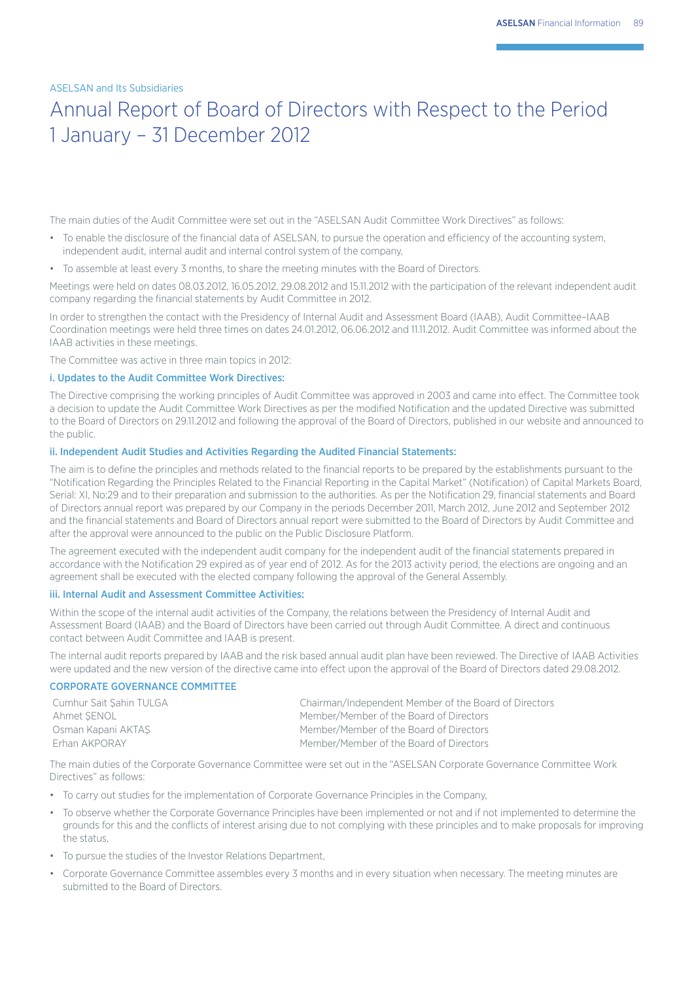## Annual Report of Board of Directors with Respect to the Period 1 January – 31 December 2012

The main duties of the Audit Committee were set out in the "ASELSAN Audit Committee Work Directives" as follows:

- To enable the disclosure of the financial data of ASELSAN, to pursue the operation and efficiency of the accounting system, independent audit, internal audit and internal control system of the company,
- To assemble at least every 3 months, to share the meeting minutes with the Board of Directors.

Meetings were held on dates 08.03.2012, 16.05.2012, 29.08.2012 and 15.11.2012 with the participation of the relevant independent audit company regarding the financial statements by Audit Committee in 2012.

In order to strengthen the contact with the Presidency of Internal Audit and Assessment Board (IAAB), Audit Committee–IAAB Coordination meetings were held three times on dates 24.01.2012, 06.06.2012 and 11.11.2012. Audit Committee was informed about the IAAB activities in these meetings.

The Committee was active in three main topics in 2012:

## i. Updates to the Audit Committee Work Directives:

The Directive comprising the working principles of Audit Committee was approved in 2003 and came into effect. The Committee took a decision to update the Audit Committee Work Directives as per the modified Notification and the updated Directive was submitted to the Board of Directors on 29.11.2012 and following the approval of the Board of Directors, published in our website and announced to the public.

### ii. Independent Audit Studies and Activities Regarding the Audited Financial Statements:

The aim is to define the principles and methods related to the financial reports to be prepared by the establishments pursuant to the "Notification Regarding the Principles Related to the Financial Reporting in the Capital Market" (Notification) of Capital Markets Board, Serial: XI, No:29 and to their preparation and submission to the authorities. As per the Notification 29, financial statements and Board of Directors annual report was prepared by our Company in the periods December 2011, March 2012, June 2012 and September 2012 and the financial statements and Board of Directors annual report were submitted to the Board of Directors by Audit Committee and after the approval were announced to the public on the Public Disclosure Platform.

The agreement executed with the independent audit company for the independent audit of the financial statements prepared in accordance with the Notification 29 expired as of year end of 2012. As for the 2013 activity period, the elections are ongoing and an agreement shall be executed with the elected company following the approval of the General Assembly.

#### iii. Internal Audit and Assessment Committee Activities:

Within the scope of the internal audit activities of the Company, the relations between the Presidency of Internal Audit and Assessment Board (IAAB) and the Board of Directors have been carried out through Audit Committee. A direct and continuous contact between Audit Committee and IAAB is present.

The internal audit reports prepared by IAAB and the risk based annual audit plan have been reviewed. The Directive of IAAB Activities were updated and the new version of the directive came into effect upon the approval of the Board of Directors dated 29.08.2012.

### CORPORATE GOVERNANCE COMMITTEE

| Cumhur Sait Sahin TULGA | Chairman/Independent Member of the Board of Directors |
|-------------------------|-------------------------------------------------------|
| Ahmet SENOL             | Member/Member of the Board of Directors               |
| Osman Kapani AKTAS      | Member/Member of the Board of Directors               |
| Erhan AKPORAY           | Member/Member of the Board of Directors               |

The main duties of the Corporate Governance Committee were set out in the "ASELSAN Corporate Governance Committee Work Directives" as follows:

- To carry out studies for the implementation of Corporate Governance Principles in the Company,
- To observe whether the Corporate Governance Principles have been implemented or not and if not implemented to determine the grounds for this and the conflicts of interest arising due to not complying with these principles and to make proposals for improving the status
- To pursue the studies of the Investor Relations Department,
- Corporate Governance Committee assembles every 3 months and in every situation when necessary. The meeting minutes are submitted to the Board of Directors.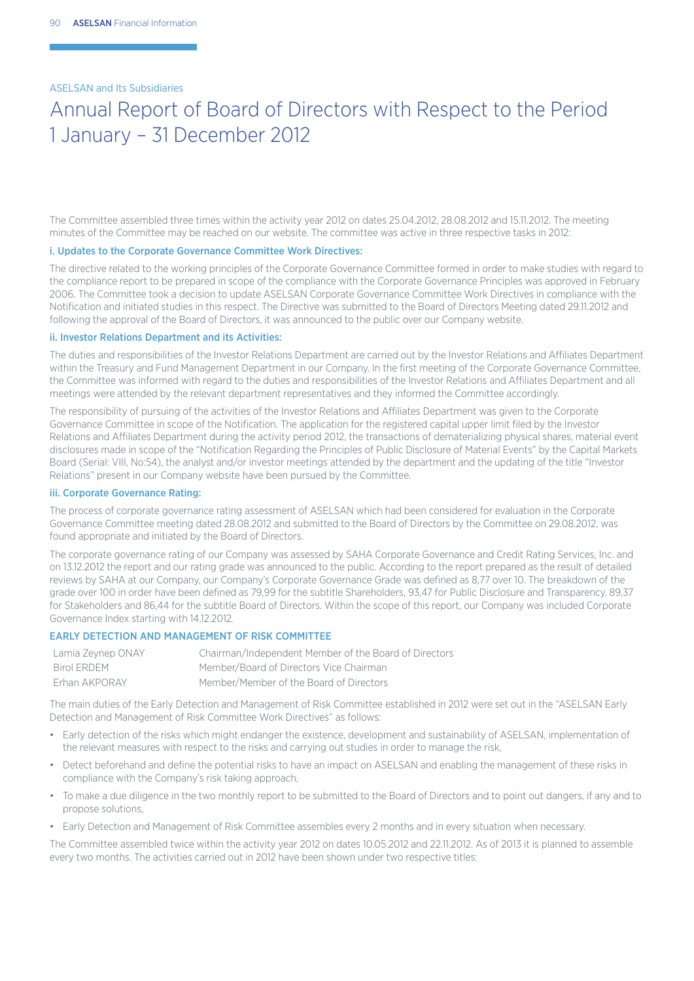## Annual Report of Board of Directors with Respect to the Period 1 January – 31 December 2012

The Committee assembled three times within the activity year 2012 on dates 25.04.2012, 28.08.2012 and 15.11.2012. The meeting minutes of the Committee may be reached on our website. The committee was active in three respective tasks in 2012:

### i. Updates to the Corporate Governance Committee Work Directives:

The directive related to the working principles of the Corporate Governance Committee formed in order to make studies with regard to the compliance report to be prepared in scope of the compliance with the Corporate Governance Principles was approved in February 2006. The Committee took a decision to update ASELSAN Corporate Governance Committee Work Directives in compliance with the Notification and initiated studies in this respect. The Directive was submitted to the Board of Directors Meeting dated 29.11.2012 and following the approval of the Board of Directors, it was announced to the public over our Company website.

### ii. Investor Relations Department and its Activities:

The duties and responsibilities of the Investor Relations Department are carried out by the Investor Relations and Affiliates Department within the Treasury and Fund Management Department in our Company. In the first meeting of the Corporate Governance Committee, the Committee was informed with regard to the duties and responsibilities of the Investor Relations and Affiliates Department and all meetings were attended by the relevant department representatives and they informed the Committee accordingly.

The responsibility of pursuing of the activities of the Investor Relations and Affiliates Department was given to the Corporate Governance Committee in scope of the Notification. The application for the registered capital upper limit filed by the Investor Relations and Affiliates Department during the activity period 2012, the transactions of dematerializing physical shares, material event disclosures made in scope of the "Notification Regarding the Principles of Public Disclosure of Material Events" by the Capital Markets Board (Serial: VIII, No:54), the analyst and/or investor meetings attended by the department and the updating of the title "Investor Relations" present in our Company website have been pursued by the Committee.

#### iii. Corporate Governance Rating:

The process of corporate governance rating assessment of ASELSAN which had been considered for evaluation in the Corporate Governance Committee meeting dated 28.08.2012 and submitted to the Board of Directors by the Committee on 29.08.2012, was found appropriate and initiated by the Board of Directors.

The corporate governance rating of our Company was assessed by SAHA Corporate Governance and Credit Rating Services, Inc. and on 13.12.2012 the report and our rating grade was announced to the public. According to the report prepared as the result of detailed reviews by SAHA at our Company, our Company's Corporate Governance Grade was defined as 8,77 over 10. The breakdown of the grade over 100 in order have been defined as 79,99 for the subtitle Shareholders, 93,47 for Public Disclosure and Transparency, 89,37 for Stakeholders and 86,44 for the subtitle Board of Directors. Within the scope of this report, our Company was included Corporate Governance Index starting with 14.12.2012*.* 

### EARLY DETECTION AND MANAGEMENT OF RISK COMMITTEE

| Lamia Zeynep ONAY | Chairman/Independent Member of the Board of Directors |
|-------------------|-------------------------------------------------------|
| Birol ERDEM       | Member/Board of Directors Vice Chairman               |
| Erhan AKPORAY     | Member/Member of the Board of Directors               |

The main duties of the Early Detection and Management of Risk Committee established in 2012 were set out in the "ASELSAN Early Detection and Management of Risk Committee Work Directives" as follows:

- Early detection of the risks which might endanger the existence, development and sustainability of ASELSAN, implementation of the relevant measures with respect to the risks and carrying out studies in order to manage the risk,
- Detect beforehand and define the potential risks to have an impact on ASELSAN and enabling the management of these risks in compliance with the Company's risk taking approach,
- To make a due diligence in the two monthly report to be submitted to the Board of Directors and to point out dangers, if any and to propose solutions,
- Early Detection and Management of Risk Committee assembles every 2 months and in every situation when necessary.

The Committee assembled twice within the activity year 2012 on dates 10.05.2012 and 22.11.2012. As of 2013 it is planned to assemble every two months. The activities carried out in 2012 have been shown under two respective titles: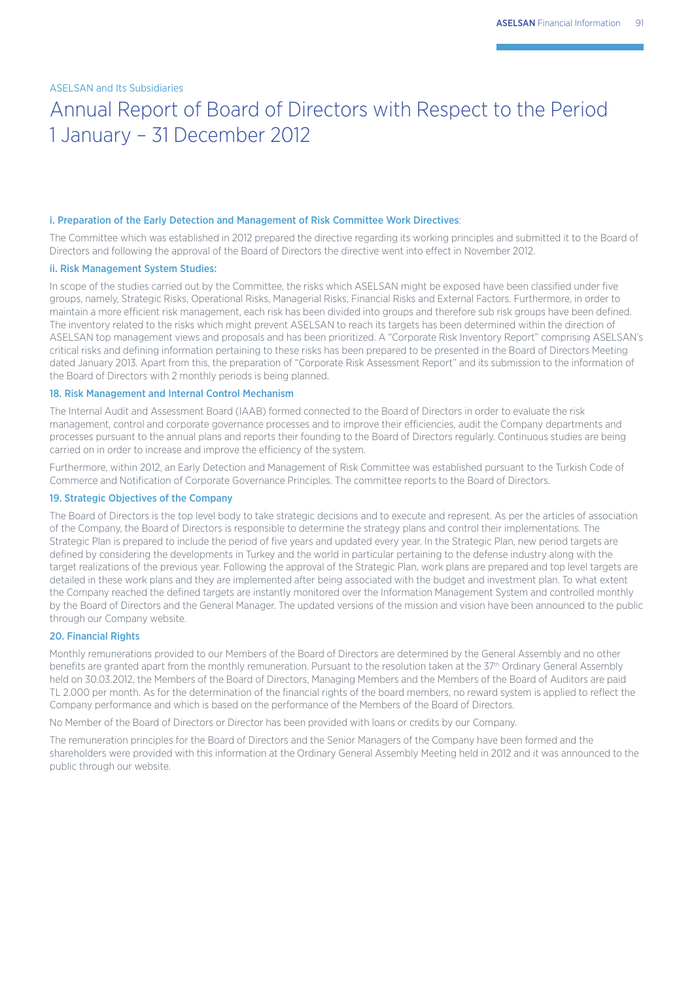## Annual Report of Board of Directors with Respect to the Period 1 January – 31 December 2012

#### i. Preparation of the Early Detection and Management of Risk Committee Work Directives:

The Committee which was established in 2012 prepared the directive regarding its working principles and submitted it to the Board of Directors and following the approval of the Board of Directors the directive went into effect in November 2012.

#### ii. Risk Management System Studies:

In scope of the studies carried out by the Committee, the risks which ASELSAN might be exposed have been classified under five groups, namely, Strategic Risks, Operational Risks, Managerial Risks, Financial Risks and External Factors. Furthermore, in order to maintain a more efficient risk management, each risk has been divided into groups and therefore sub risk groups have been defined. The inventory related to the risks which might prevent ASELSAN to reach its targets has been determined within the direction of ASELSAN top management views and proposals and has been prioritized. A "Corporate Risk Inventory Report" comprising ASELSAN's critical risks and defining information pertaining to these risks has been prepared to be presented in the Board of Directors Meeting dated January 2013. Apart from this, the preparation of "Corporate Risk Assessment Report" and its submission to the information of the Board of Directors with 2 monthly periods is being planned.

#### 18. Risk Management and Internal Control Mechanism

The Internal Audit and Assessment Board (IAAB) formed connected to the Board of Directors in order to evaluate the risk management, control and corporate governance processes and to improve their efficiencies, audit the Company departments and processes pursuant to the annual plans and reports their founding to the Board of Directors regularly. Continuous studies are being carried on in order to increase and improve the efficiency of the system.

Furthermore, within 2012, an Early Detection and Management of Risk Committee was established pursuant to the Turkish Code of Commerce and Notification of Corporate Governance Principles. The committee reports to the Board of Directors.

#### 19. Strategic Objectives of the Company

The Board of Directors is the top level body to take strategic decisions and to execute and represent. As per the articles of association of the Company, the Board of Directors is responsible to determine the strategy plans and control their implementations. The Strategic Plan is prepared to include the period of five years and updated every year. In the Strategic Plan, new period targets are defined by considering the developments in Turkey and the world in particular pertaining to the defense industry along with the target realizations of the previous year. Following the approval of the Strategic Plan, work plans are prepared and top level targets are detailed in these work plans and they are implemented after being associated with the budget and investment plan. To what extent the Company reached the defined targets are instantly monitored over the Information Management System and controlled monthly by the Board of Directors and the General Manager. The updated versions of the mission and vision have been announced to the public through our Company website.

### 20. Financial Rights

Monthly remunerations provided to our Members of the Board of Directors are determined by the General Assembly and no other benefits are granted apart from the monthly remuneration. Pursuant to the resolution taken at the 37th Ordinary General Assembly held on 30.03.2012, the Members of the Board of Directors, Managing Members and the Members of the Board of Auditors are paid TL 2.000 per month. As for the determination of the financial rights of the board members, no reward system is applied to reflect the Company performance and which is based on the performance of the Members of the Board of Directors.

No Member of the Board of Directors or Director has been provided with loans or credits by our Company.

The remuneration principles for the Board of Directors and the Senior Managers of the Company have been formed and the shareholders were provided with this information at the Ordinary General Assembly Meeting held in 2012 and it was announced to the public through our website.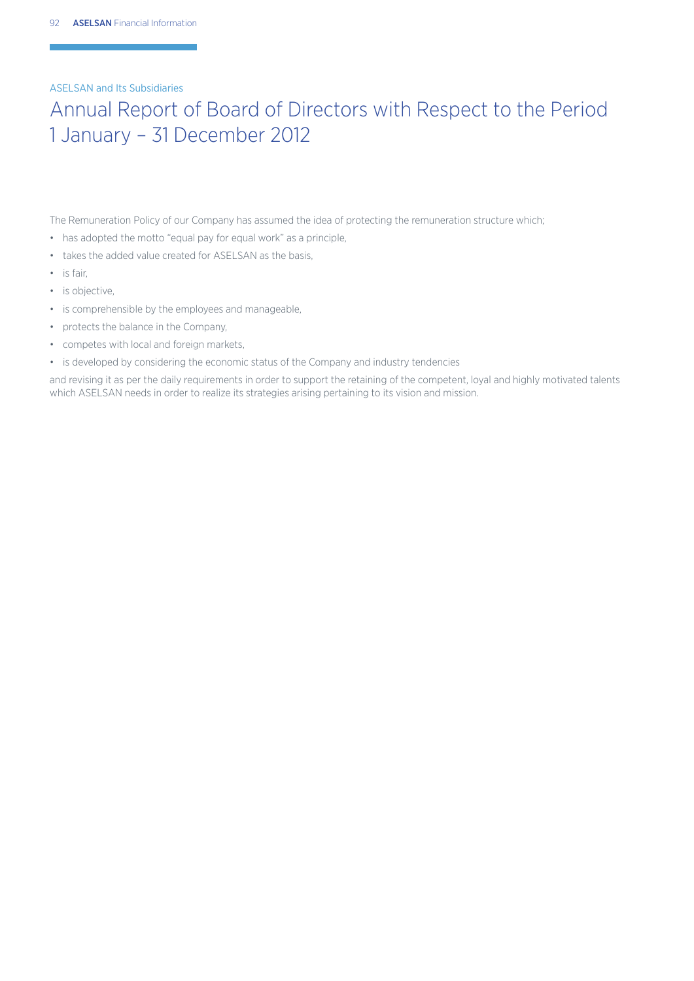## Annual Report of Board of Directors with Respect to the Period 1 January – 31 December 2012

The Remuneration Policy of our Company has assumed the idea of protecting the remuneration structure which;

- has adopted the motto "equal pay for equal work" as a principle,
- $\cdot$  takes the added value created for ASELSAN as the basis.
- $\cdot$  is fair.
- is objective,
- is comprehensible by the employees and manageable,
- protects the balance in the Company,
- competes with local and foreign markets,
- is developed by considering the economic status of the Company and industry tendencies

and revising it as per the daily requirements in order to support the retaining of the competent, loyal and highly motivated talents which ASELSAN needs in order to realize its strategies arising pertaining to its vision and mission.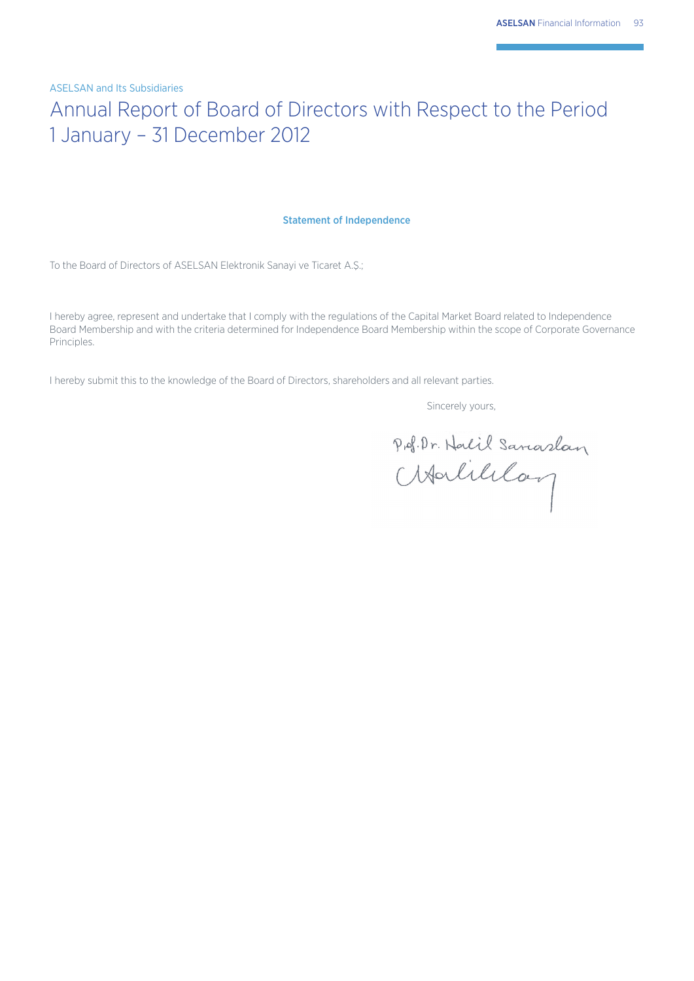# Annual Report of Board of Directors with Respect to the Period 1 January – 31 December 2012

#### Statement of Independence

To the Board of Directors of ASELSAN Elektronik Sanayi ve Ticaret A.Ş.;

I hereby agree, represent and undertake that I comply with the regulations of the Capital Market Board related to Independence Board Membership and with the criteria determined for Independence Board Membership within the scope of Corporate Governance Principles.

I hereby submit this to the knowledge of the Board of Directors, shareholders and all relevant parties.

Sincerely yours,

Prof. Dr. Nalil Sanaslan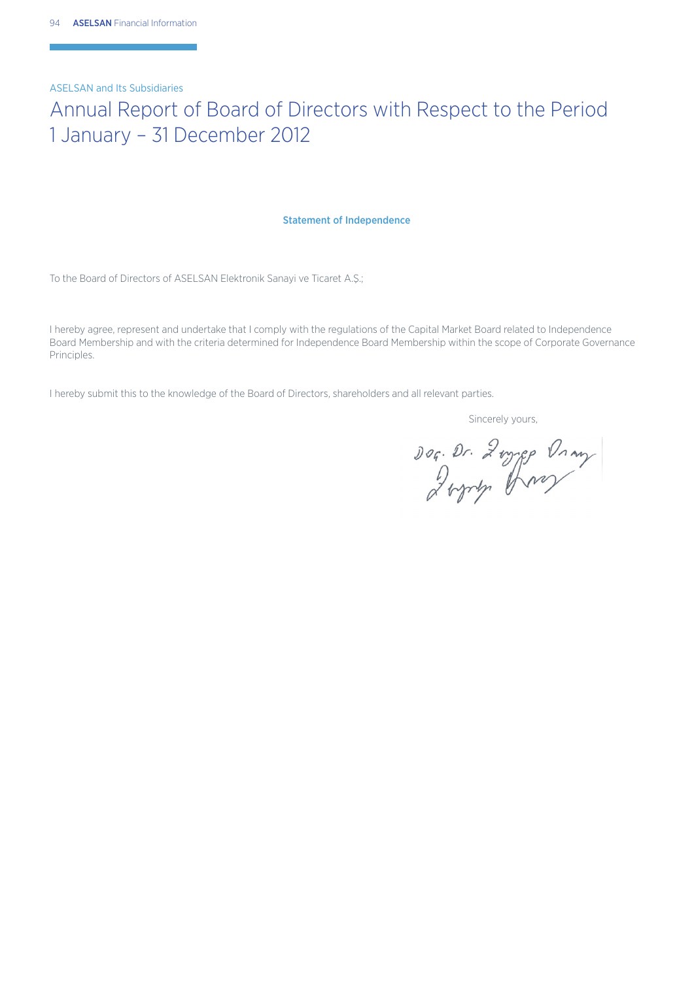## Annual Report of Board of Directors with Respect to the Period 1 January – 31 December 2012

#### Statement of Independence

To the Board of Directors of ASELSAN Elektronik Sanayi ve Ticaret A.Ş.;

I hereby agree, represent and undertake that I comply with the regulations of the Capital Market Board related to Independence Board Membership and with the criteria determined for Independence Board Membership within the scope of Corporate Governance Principles.

I hereby submit this to the knowledge of the Board of Directors, shareholders and all relevant parties.

Sincerely yours,

Dog. Dr. 2mygg Dray